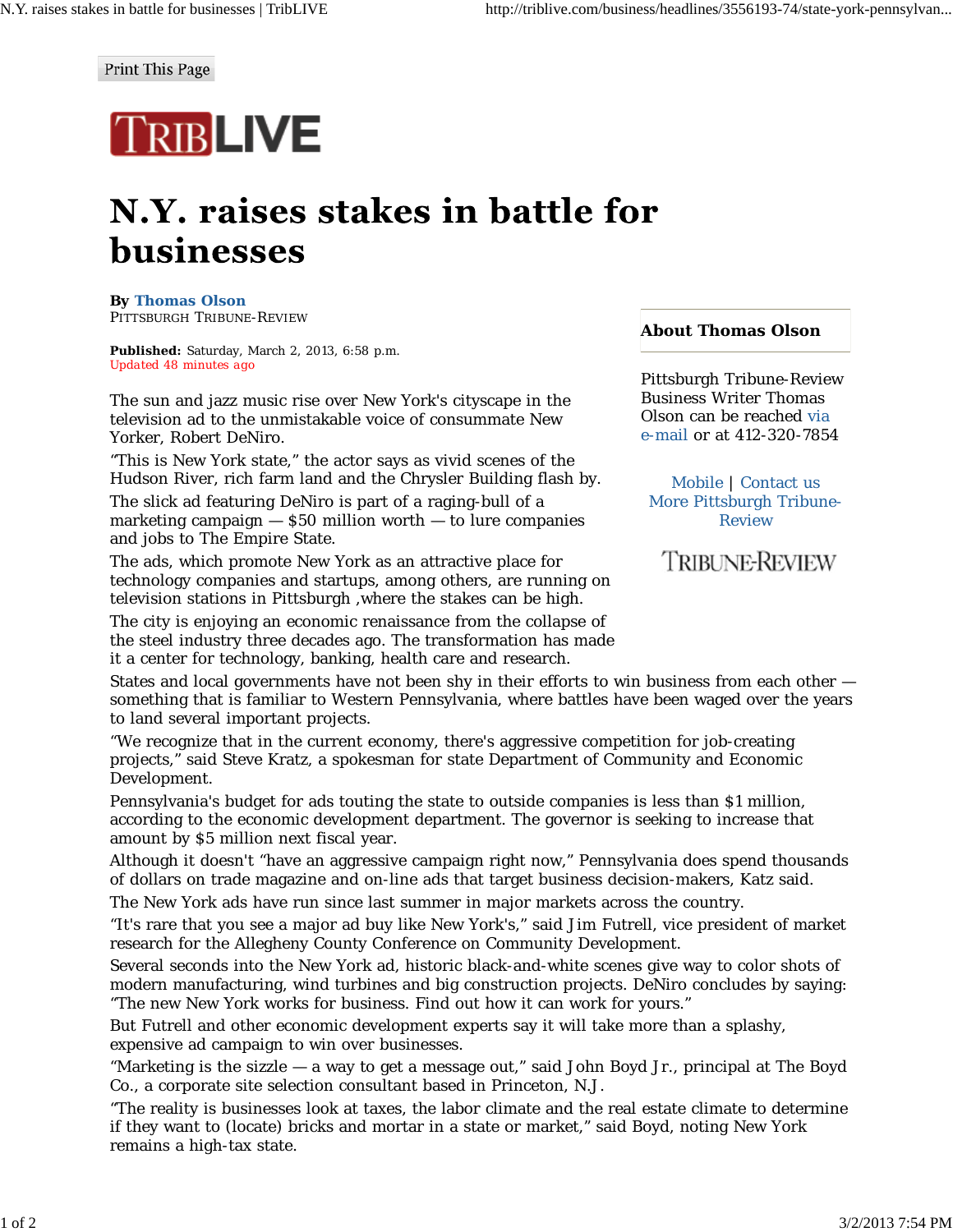Print This Page

## **TRIBLIVE**

## N.Y. raises stakes in battle for businesses

**By Thomas Olson** PITTSBURGH TRIBUNE-REVIEW

**Published:** Saturday, March 2, 2013, 6:58 p.m. *Updated 48 minutes ago*

The sun and jazz music rise over New York's cityscape in the television ad to the unmistakable voice of consummate New Yorker, Robert DeNiro.

"This is New York state," the actor says as vivid scenes of the Hudson River, rich farm land and the Chrysler Building flash by.

The slick ad featuring DeNiro is part of a raging-bull of a marketing campaign — \$50 million worth — to lure companies and jobs to The Empire State.

The ads, which promote New York as an attractive place for technology companies and startups, among others, are running on television stations in Pittsburgh ,where the stakes can be high.

The city is enjoying an economic renaissance from the collapse of the steel industry three decades ago. The transformation has made it a center for technology, banking, health care and research.

## **About Thomas Olson**

Pittsburgh Tribune-Review Business Writer Thomas Olson can be reached via e-mail or at 412-320-7854

Mobile | Contact us More Pittsburgh Tribune-Review

**TRIBUNE-REVIEW** 

States and local governments have not been shy in their efforts to win business from each other something that is familiar to Western Pennsylvania, where battles have been waged over the years to land several important projects.

"We recognize that in the current economy, there's aggressive competition for job-creating projects," said Steve Kratz, a spokesman for state Department of Community and Economic Development.

Pennsylvania's budget for ads touting the state to outside companies is less than \$1 million, according to the economic development department. The governor is seeking to increase that amount by \$5 million next fiscal year.

Although it doesn't "have an aggressive campaign right now," Pennsylvania does spend thousands of dollars on trade magazine and on-line ads that target business decision-makers, Katz said.

The New York ads have run since last summer in major markets across the country.

"It's rare that you see a major ad buy like New York's," said Jim Futrell, vice president of market research for the Allegheny County Conference on Community Development.

Several seconds into the New York ad, historic black-and-white scenes give way to color shots of modern manufacturing, wind turbines and big construction projects. DeNiro concludes by saying: "The new New York works for business. Find out how it can work for yours."

But Futrell and other economic development experts say it will take more than a splashy, expensive ad campaign to win over businesses.

"Marketing is the sizzle — a way to get a message out," said John Boyd Jr., principal at The Boyd Co., a corporate site selection consultant based in Princeton, N.J.

"The reality is businesses look at taxes, the labor climate and the real estate climate to determine if they want to (locate) bricks and mortar in a state or market," said Boyd, noting New York remains a high-tax state.